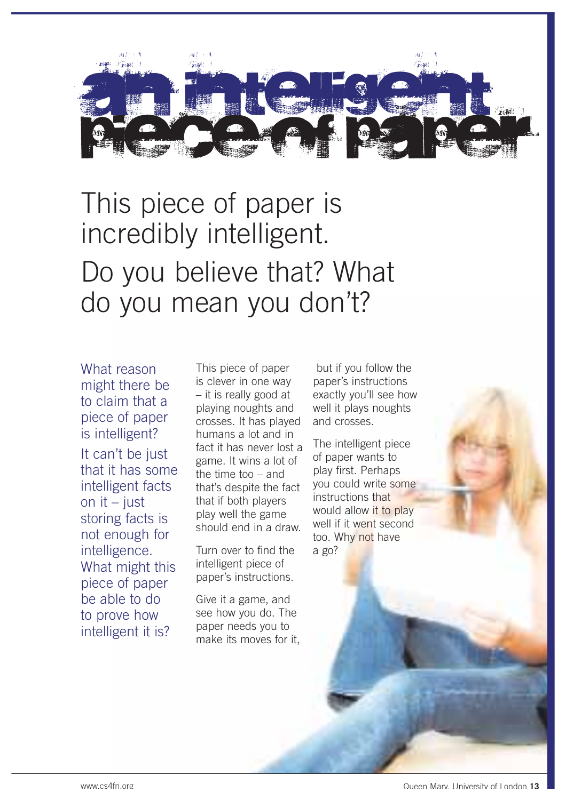

# This piece of paper is incredibly intelligent. Do you believe that? What do you mean you don't?

What reason might there be to claim that a piece of paper is intelligent? It can't be just that it has some intelligent facts on it  $-$  just storing facts is not enough for intelligence. What might this piece of paper be able to do to prove how intelligent it is?

This piece of paper is clever in one way – it is really good at playing noughts and crosses. It has played humans a lot and in fact it has never lost a game. It wins a lot of the time too – and that's despite the fact that if both players play well the game should end in a draw.

Turn over to find the intelligent piece of paper's instructions.

Give it a game, and see how you do. The paper needs you to make its moves for it,

but if you follow the paper's instructions exactly you'll see how well it plays noughts and crosses.

The intelligent piece of paper wants to play first. Perhaps you could write some instructions that would allow it to play well if it went second too. Why not have a go?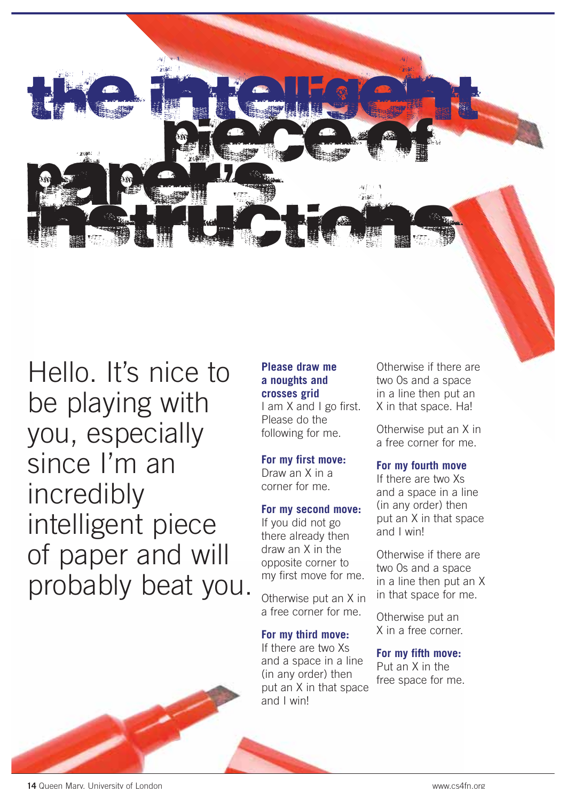

Hello. It's nice to be playing with you, especially since I'm an incredibly intelligent piece of paper and will probably beat you.

# **Please draw me a noughts and crosses grid**

I am X and I go first. Please do the following for me.

# **For my first move:**

Draw an X in a corner for me.

## **For my second move:**

If you did not go there already then draw an X in the opposite corner to my first move for me.

Otherwise put an X in a free corner for me.

# **For my third move:**

If there are two Xs and a space in a line (in any order) then put an X in that space and I win!

Otherwise if there are two 0s and a space in a line then put an X in that space. Ha!

Otherwise put an X in a free corner for me.

## **For my fourth move**

If there are two Xs and a space in a line (in any order) then put an X in that space and I win!

Otherwise if there are two 0s and a space in a line then put an X in that space for me.

Otherwise put an X in a free corner.

#### **For my fifth move:**

Put an X in the free space for me.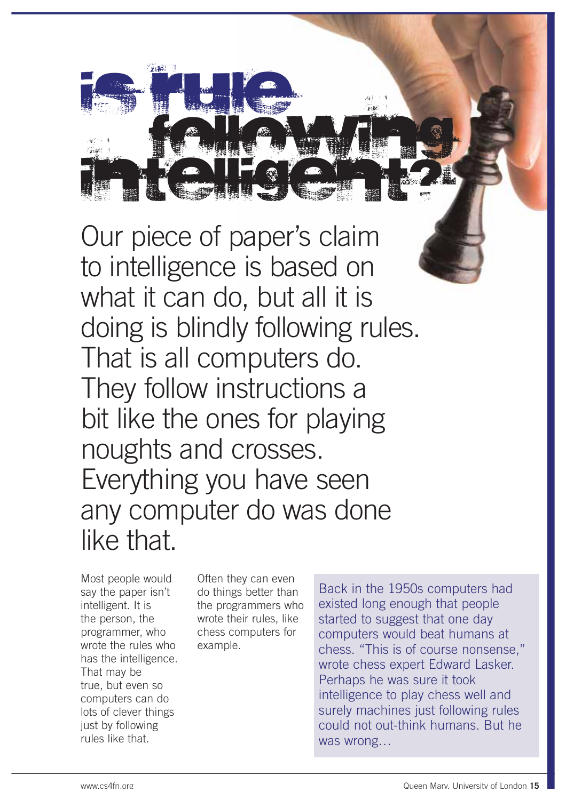

Our piece of paper's claim to intelligence is based on what it can do, but all it is doing is blindly following rules. That is all computers do. They follow instructions a bit like the ones for playing noughts and crosses. Everything you have seen any computer do was done like that.

Most people would say the paper isn't intelligent. It is the person, the programmer, who wrote the rules who has the intelligence. That may be true, but even so computers can do lots of clever things just by following rules like that.

Often they can even do things better than the programmers who wrote their rules, like chess computers for example.

Back in the 1950s computers had existed long enough that people started to suggest that one day computers would beat humans at chess. "This is of course nonsense," wrote chess expert Edward Lasker. Perhaps he was sure it took intelligence to play chess well and surely machines just following rules could not out-think humans. But he was wrong…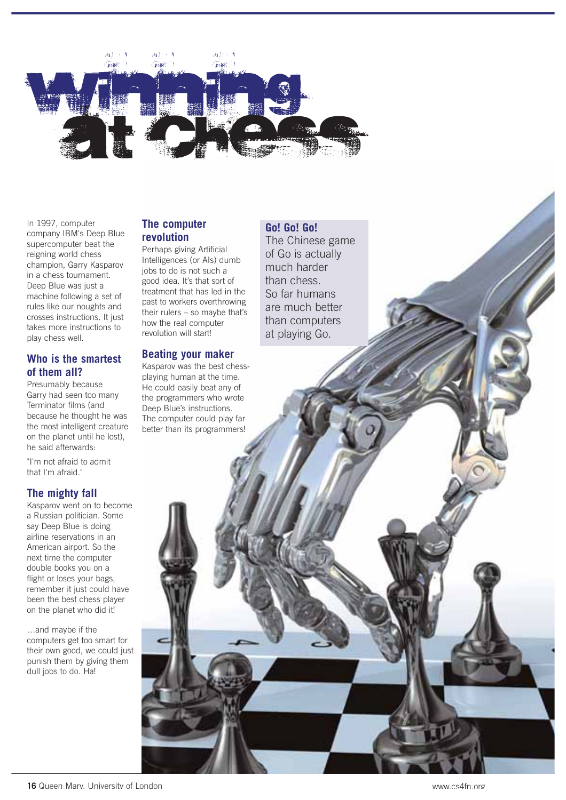

In 1997, computer company IBM's Deep Blue supercomputer beat the reigning world chess champion, Garry Kasparov in a chess tournament. Deep Blue was just a machine following a set of rules like our noughts and crosses instructions. It just takes more instructions to play chess well.

#### **Who is the smartest of them all?**

Presumably because Garry had seen too many Terminator films (and because he thought he was the most intelligent creature on the planet until he lost), he said afterwards:

"I'm not afraid to admit that I'm afraid."

# **The mighty fall**

Kasparov went on to become a Russian politician. Some say Deep Blue is doing airline reservations in an American airport. So the next time the computer double books you on a flight or loses your bags. remember it just could have been the best chess player on the planet who did it!

…and maybe if the computers get too smart for their own good, we could just punish them by giving them dull jobs to do. Ha!

#### **The computer revolution**

Perhaps giving Artificial Intelligences (or AIs) dumb jobs to do is not such a good idea. It's that sort of treatment that has led in the past to workers overthrowing their rulers – so maybe that's how the real computer revolution will start!

#### **Beating your maker**

Kasparov was the best chessplaying human at the time. He could easily beat any of the programmers who wrote Deep Blue's instructions. The computer could play far better than its programmers!

The Chinese game of Go is actually much harder than chess. So far humans are much better than computers at playing Go.

**Go! Go! Go!**

**16** Queen Mary, University of London

www.cs4fn.org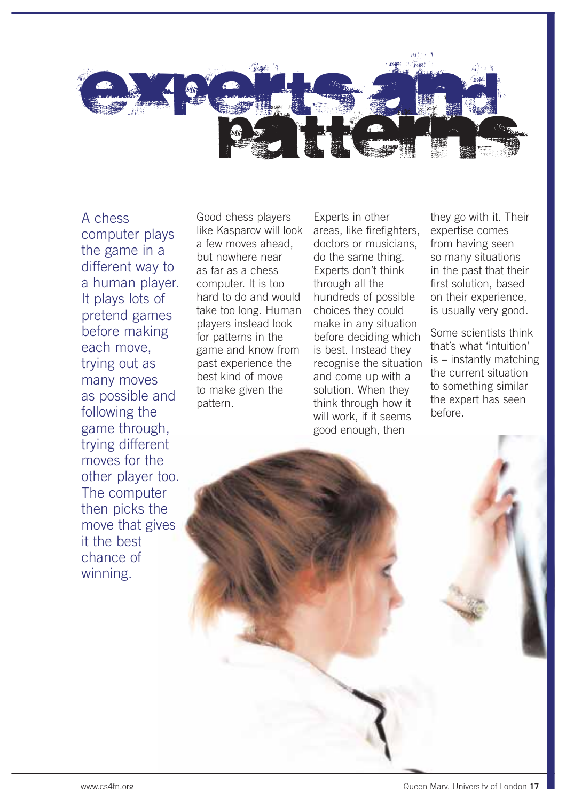

A chess computer plays the game in a different way to a human player. It plays lots of pretend games before making each move, trying out as many moves as possible and following the game through, trying different moves for the other player too. The computer then picks the move that gives it the best chance of winning.

Good chess players like Kasparov will look a few moves ahead, but nowhere near as far as a chess computer. It is too hard to do and would take too long. Human players instead look for patterns in the game and know from past experience the best kind of move to make given the pattern.

Experts in other areas, like firefighters, doctors or musicians, do the same thing. Experts don't think through all the hundreds of possible choices they could make in any situation before deciding which is best. Instead they recognise the situation and come up with a solution. When they think through how it will work, if it seems good enough, then

they go with it. Their expertise comes from having seen so many situations in the past that their first solution, based on their experience, is usually very good.

Some scientists think that's what 'intuition' is – instantly matching the current situation to something similar the expert has seen before.